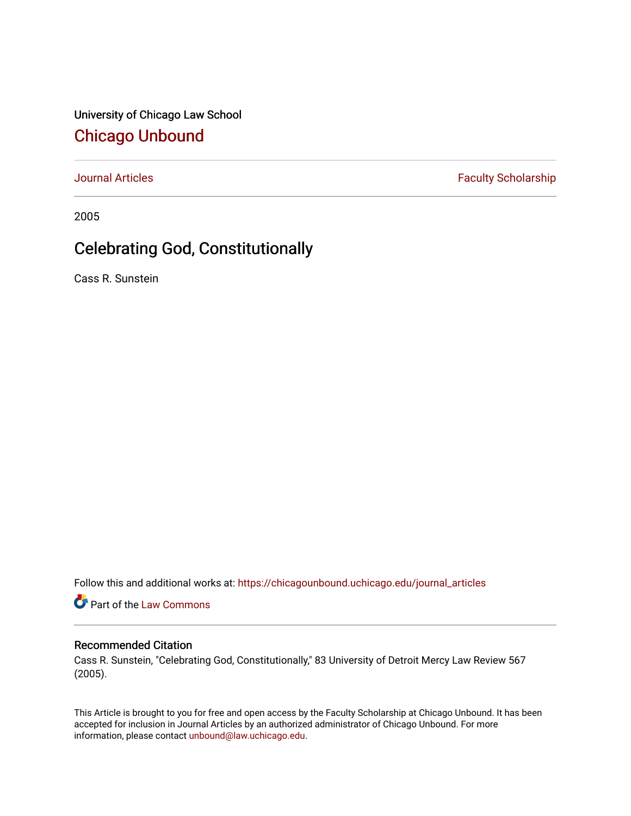University of Chicago Law School [Chicago Unbound](https://chicagounbound.uchicago.edu/)

[Journal Articles](https://chicagounbound.uchicago.edu/journal_articles) **Faculty Scholarship Faculty Scholarship** 

2005

## Celebrating God, Constitutionally

Cass R. Sunstein

Follow this and additional works at: [https://chicagounbound.uchicago.edu/journal\\_articles](https://chicagounbound.uchicago.edu/journal_articles?utm_source=chicagounbound.uchicago.edu%2Fjournal_articles%2F8299&utm_medium=PDF&utm_campaign=PDFCoverPages) 

Part of the [Law Commons](http://network.bepress.com/hgg/discipline/578?utm_source=chicagounbound.uchicago.edu%2Fjournal_articles%2F8299&utm_medium=PDF&utm_campaign=PDFCoverPages)

## Recommended Citation

Cass R. Sunstein, "Celebrating God, Constitutionally," 83 University of Detroit Mercy Law Review 567 (2005).

This Article is brought to you for free and open access by the Faculty Scholarship at Chicago Unbound. It has been accepted for inclusion in Journal Articles by an authorized administrator of Chicago Unbound. For more information, please contact [unbound@law.uchicago.edu](mailto:unbound@law.uchicago.edu).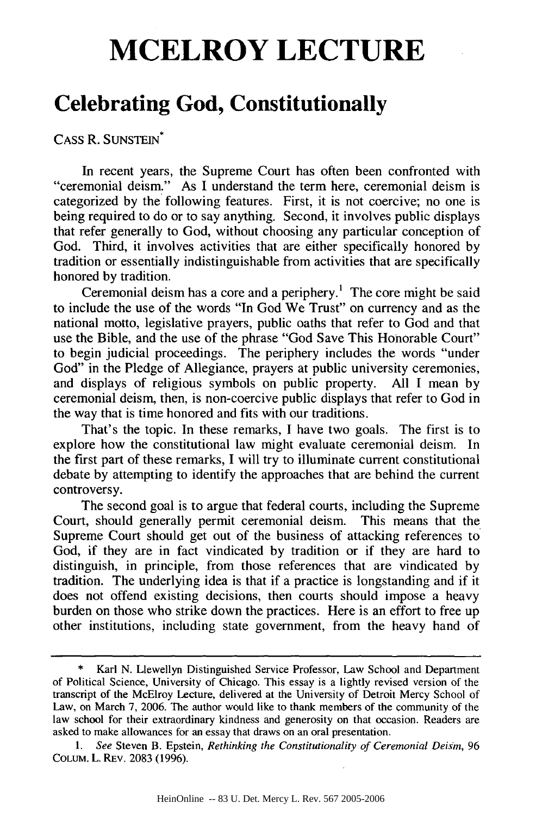## **MCELROY LECTURE**

## **Celebrating God, Constitutionally**

CASS R. SUNSTEIN\*

In recent years, the Supreme Court has often been confronted with "ceremonial deism." As I understand the term here, ceremonial deism is categorized by the following features. First, it is not coercive; no one is being required to do or to say anything. Second, it involves public displays that refer generally to God, without choosing any particular conception of God. Third, it involves activities that are either specifically honored by tradition or essentially indistinguishable from activities that are specifically honored by tradition.

Ceremonial deism has a core and a periphery.<sup>1</sup> The core might be said to include the use of the words "In God We Trust" on currency and as the national motto, legislative prayers, public oaths that refer to God and that use the Bible, and the use of the phrase "God Save This Honorable Court" to begin judicial proceedings. The periphery includes the words "under God" in the Pledge of Allegiance, prayers at public university ceremonies, and displays of religious symbols on public property. All I mean by ceremonial deism, then, is non-coercive public displays that refer to God in the way that is time honored and fits with our traditions.

That's the topic. In these remarks, I have two goals. The first is to explore how the constitutional law might evaluate ceremonial deism. In the first part of these remarks, I will try to illuminate current constitutional debate by attempting to identify the approaches that are behind the current controversy.

The second goal is to argue that federal courts, including the Supreme Court, should generally permit ceremonial deism. This means that the Supreme Court should get out of the business of attacking references to God, if they are in fact vindicated by tradition or if they are hard to distinguish, in principle, from those references that are vindicated by tradition. The underlying idea is that if a practice is longstanding and if it does not offend existing decisions, then courts should impose a heavy burden on those who strike down the practices. Here is an effort to free up other institutions, including state government, from the heavy hand of

Karl N. Llewellyn Distinguished Service Professor, Law School and Department of Political Science, University of Chicago. This essay is a lightly revised version of the transcript of the McElroy Lecture, delivered at the University of Detroit Mercy School of Law, on March 7, 2006. The author would like to thank members of the community of the law school for their extraordinary kindness and generosity on that occasion. Readers are asked to make allowances for an essay that draws on an oral presentation.

*<sup>1.</sup> See* Steven B. Epstein, *Rethinking the Constitutionality of Ceremonial Deism, 96* COLUM. L. REv. 2083 (1996).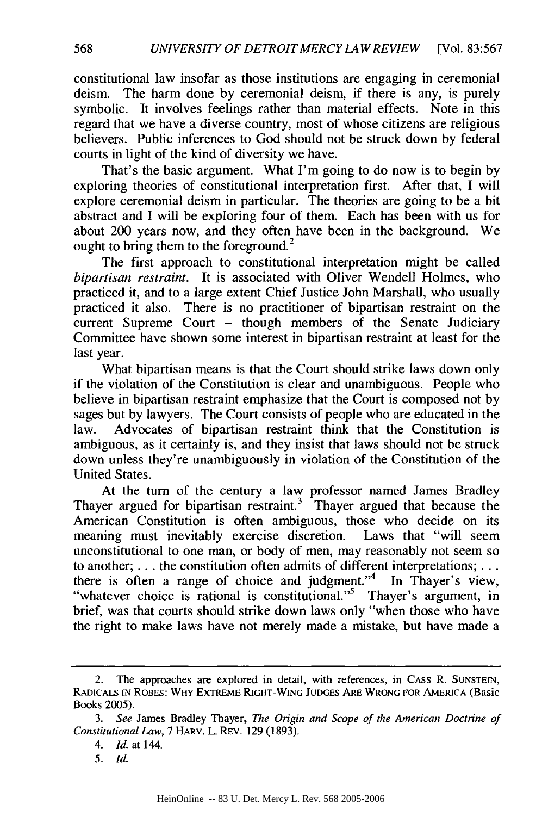constitutional law insofar as those institutions are engaging in ceremonial deism. The harm done by ceremonial deism, if there is any, is purely symbolic. It involves feelings rather than material effects. Note in this regard that we have a diverse country, most of whose citizens are religious believers. Public inferences to God should not be struck down by federal courts in light of the kind of diversity we have.

That's the basic argument. What I'm going to do now is to begin by exploring theories of constitutional interpretation first. After that, I will explore ceremonial deism in particular. The theories are going to be a bit abstract and I will be exploring four of them. Each has been with us for about 200 years now, and they often have been in the background. We ought to bring them to the foreground.<sup>2</sup>

The first approach to constitutional interpretation might be called *bipartisan restraint.* It is associated with Oliver Wendell Holmes, who practiced it, and to a large extent Chief Justice John Marshall, who usually practiced it also. There is no practitioner of bipartisan restraint on the current Supreme Court  $-$  though members of the Senate Judiciary Committee have shown some interest in bipartisan restraint at least for the last year.

What bipartisan means is that the Court should strike laws down only if the violation of the Constitution is clear and unambiguous. People who believe in bipartisan restraint emphasize that the Court is composed not by sages but by lawyers. The Court consists of people who are educated in the law. Advocates of bipartisan restraint think that the Constitution is ambiguous, as it certainly is, and they insist that laws should not be struck down unless they're unambiguously in violation of the Constitution of the United States.

At the turn of the century a law professor named James Bradley Thayer argued for bipartisan restraint.<sup>3</sup> Thayer argued that because the American Constitution is often ambiguous, those who decide on its meaning must inevitably exercise discretion. Laws that "will seem unconstitutional to one man, or body of men, may reasonably not seem so to another; **...** the constitution often admits of different interpretations;... there is often a range of choice and judgment."<sup>4</sup> In Thayer's view, "whatever choice is rational is constitutional."<sup>5</sup> Thayer's argument, in brief, was that courts should strike down laws only "when those who have the right to make laws have not merely made a mistake, but have made a

<sup>2.</sup> The approaches are explored in detail, with references, in CASS R. **SUNSTEIN,** RADICALS **IN** ROBES: WHY EXTREME **RIGHT-WING** JUDGES ARE WRONG FOR AMERICA (Basic Books 2005).

*<sup>3.</sup> See* James Bradley Thayer, *The Origin and Scope of the American Doctrine of Constitutional Law,* 7 HARV. L. REv. 129 (1893).

*<sup>4.</sup> Id.* at 144.

*<sup>5.</sup> Id.*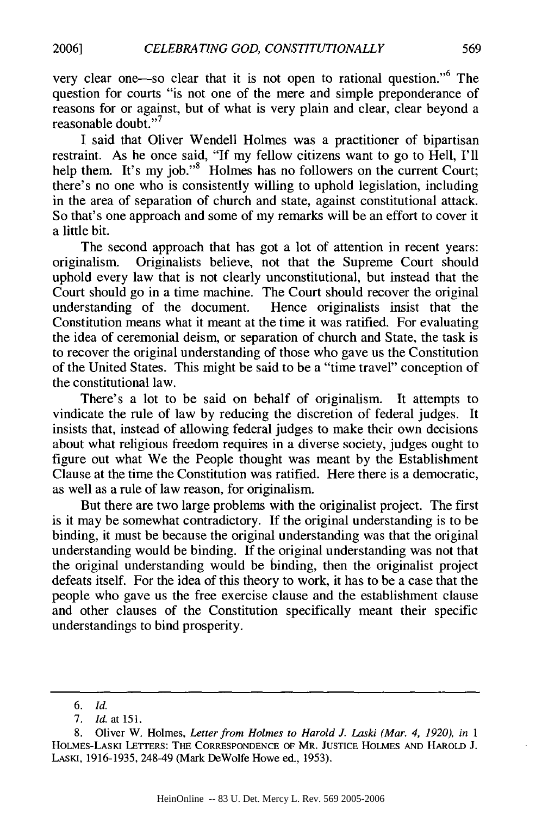very clear one—so clear that it is not open to rational question."<sup>6</sup> The question for courts "is not one of the mere and simple preponderance of reasons for or against, but of what is very plain and clear, clear beyond a reasonable doubt."<sup>7</sup>

I said that Oliver Wendell Holmes was a practitioner of bipartisan restraint. As he once said, "If my fellow citizens want to go to Hell, I'll help them. It's my job."<sup>8</sup> Holmes has no followers on the current Court; there's no one who is consistently willing to uphold legislation, including in the area of separation of church and state, against constitutional attack. So that's one approach and some of my remarks will be an effort to cover it a little bit.

The second approach that has got a lot of attention in recent years: originalism. Originalists believe, not that the Supreme Court should uphold every law that is not clearly unconstitutional, but instead that the Court should go in a time machine. The Court should recover the original understanding of the document. Hence originalists insist that the Constitution means what it meant at the time it was ratified. For evaluating the idea of ceremonial deism, or separation of church and State, the task is to recover the original understanding of those who gave us the Constitution of the United States. This might be said to be a "time travel" conception of the constitutional law.

There's a lot to be said on behalf of originalism. It attempts to vindicate the rule of law by reducing the discretion of federal judges. It insists that, instead of allowing federal judges to make their own decisions about what religious freedom requires in a diverse society, judges ought to figure out what We the People thought was meant by the Establishment Clause at the time the Constitution was ratified. Here there is a democratic, as well as a rule of law reason, for originalism.

But there are two large problems with the originalist project. The first is it may be somewhat contradictory. If the original understanding is to be binding, it must be because the original understanding was that the original understanding would be binding. If the original understanding was not that the original understanding would be binding, then the originalist project defeats itself. For the idea of this theory to work, it has to be a case that the people who gave us the free exercise clause and the establishment clause and other clauses of the Constitution specifically meant their specific understandings to bind prosperity.

*<sup>6.</sup> Id.*

<sup>7.</sup> *Id.* at 151.

<sup>8.</sup> Oliver W. Holmes, *Letter from Holmes to Harold J. Laski (Mar. 4, 1920), in I* HOLMES-LASKI LETTERS: THE CORRESPONDENCE OF MR. JUSTICE HOLMES AND HAROLD J. LASKI, 1916-1935, 248-49 (Mark DeWolfe Howe ed., 1953).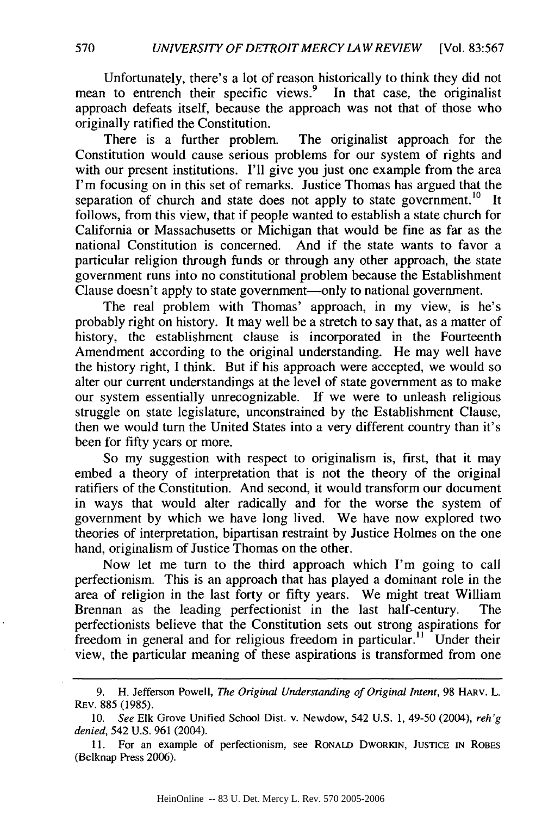Unfortunately, there's a lot of reason historically to think they did not mean to entrench their specific views.<sup>9</sup> In that case, the originalist approach defeats itself, because the approach was not that of those who originally ratified the Constitution.

There is a further problem. The originalist approach for the Constitution would cause serious problems for our system of rights and with our present institutions. I'll give you just one example from the area I'm focusing on in this set of remarks. Justice Thomas has argued that the separation of church and state does not apply to state government.<sup>10</sup> It follows, from this view, that if people wanted to establish a state church for California or Massachusetts or Michigan that would be fine as far as the national Constitution is concerned. And if the state wants to favor a particular religion through funds or through any other approach, the state government runs into no constitutional problem because the Establishment Clause doesn't apply to state government—only to national government.

The real problem with Thomas' approach, in my view, is he's probably right on history. It may well be a stretch to say that, as a matter of history, the establishment clause is incorporated in the Fourteenth Amendment according to the original understanding. He may well have the history right, I think. But if his approach were accepted, we would so alter our current understandings at the level of state government as to make our system essentially unrecognizable. If we were to unleash religious struggle on state legislature, unconstrained by the Establishment Clause, then we would turn the United States into a very different country than it's been for fifty years or more.

So my suggestion with respect to originalism is, first, that it may embed a theory of interpretation that is not the theory of the original ratifiers of the Constitution. And second, it would transform our document in ways that would alter radically and for the worse the system of government by which we have long lived. We have now explored two theories of interpretation, bipartisan restraint by Justice Holmes on the one hand, originalism of Justice Thomas on the other.

Now let me turn to the third approach which I'm going to call perfectionism. This is an approach that has played a dominant role in the area of religion in the last forty or fifty years. We might treat William Brennan as the leading perfectionist in the last half-century. The perfectionists believe that the Constitution sets out strong aspirations for freedom in general and for religious freedom in particular.<sup>11</sup> Under their view, the particular meaning of these aspirations is transformed from one

<sup>9.</sup> H. Jefferson Powell, *The Original Understanding of Original Intent,* 98 HARv. L. REv. 885 (1985).

<sup>10.</sup> *See* Elk Grove Unified School Dist. v. Newdow, 542 U.S. 1, 49-50 (2004), *reh'g denied,* 542 U.S. 961 (2004).

<sup>11.</sup> For an example of perfectionism, see RONALD DWORKIN, **JUSTICE IN** ROBES (Belknap Press 2006).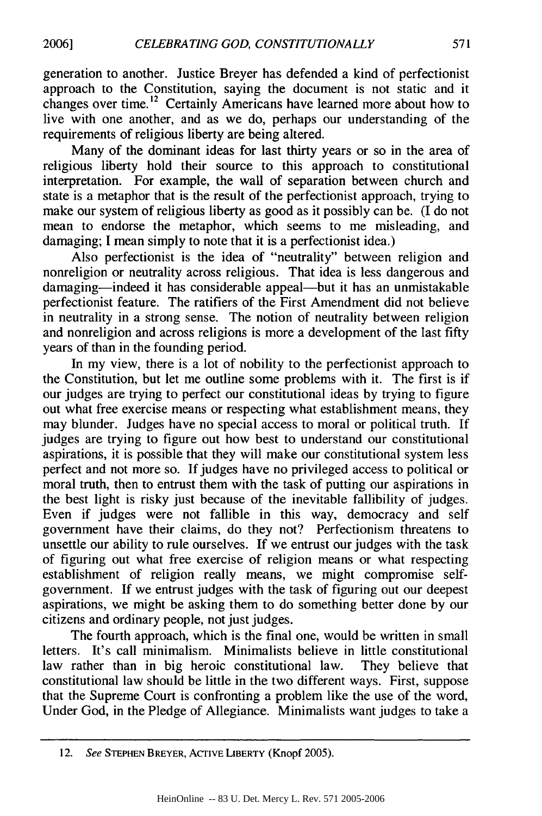generation to another. Justice Breyer has defended a kind of perfectionist approach to the Constitution, saying the document is not static and it changes over time.<sup>12</sup> Certainly Americans have learned more about how to live with one another, and as we do, perhaps our understanding of the requirements of religious liberty are being altered.

Many of the dominant ideas for last thirty years or so in the area of religious liberty hold their source to this approach to constitutional interpretation. For example, the wall of separation between church and state is a metaphor that is the result of the perfectionist approach, trying to make our system of religious liberty as good as it possibly can be. (I do not mean to endorse the metaphor, which seems to me misleading, and damaging; I mean simply to note that it is a perfectionist idea.)

Also perfectionist is the idea of "neutrality" between religion and nonreligion or neutrality across religious. That idea is less dangerous and damaging-indeed it has considerable appeal-but it has an unmistakable perfectionist feature. The ratifiers of the First Amendment did not believe in neutrality in a strong sense. The notion of neutrality between religion and nonreligion and across religions is more a development of the last fifty years of than in the founding period.

In my view, there is a lot of nobility to the perfectionist approach to the Constitution, but let me outline some problems with it. The first is if our judges are trying to perfect our constitutional ideas by trying to figure out what free exercise means or respecting what establishment means, they may blunder. Judges have no special access to moral or political truth. If judges are trying to figure out how best to understand our constitutional aspirations, it is possible that they will make our constitutional system less perfect and not more so. If judges have no privileged access to political or moral truth, then to entrust them with the task of putting our aspirations in the best light is risky just because of the inevitable fallibility of judges. Even if judges were not fallible in this way, democracy and self government have their claims, do they not? Perfectionism threatens to unsettle our ability to rule ourselves. If we entrust our judges with the task of figuring out what free exercise of religion means or what respecting establishment of religion really means, we might compromise selfgovernment. If we entrust judges with the task of figuring out our deepest aspirations, we might be asking them to do something better done by our citizens and ordinary people, not just judges.

The fourth approach, which is the final one, would be written in small letters. It's call minimalism. Minimalists believe in little constitutional law rather than in big heroic constitutional law. They believe that constitutional law should be little in the two different ways. First, suppose that the Supreme Court is confronting a problem like the use of the word, Under God, in the Pledge of Allegiance. Minimalists want judges to take a

<sup>12.</sup> *See* **STEPHEN** BREYER, ACTIVE LIBERTY (Knopf 2005).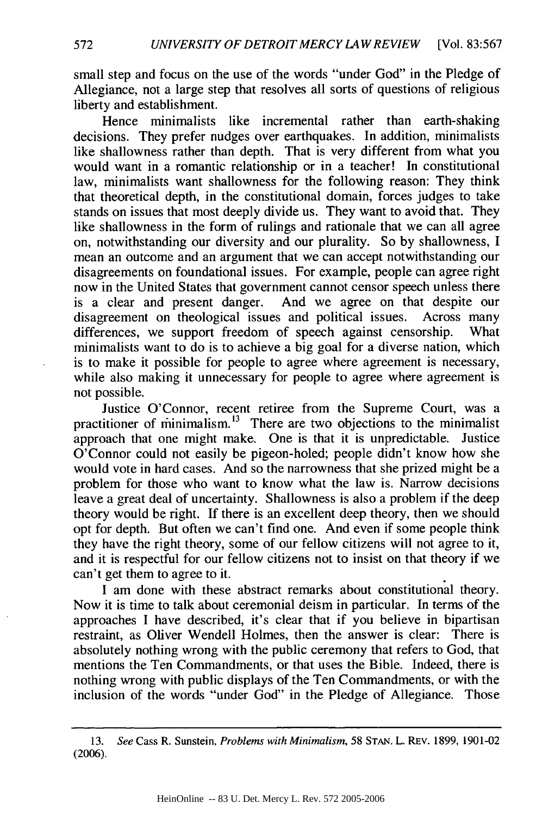small step and focus on the use of the words "under God" in the Pledge of Allegiance, not a large step that resolves all sorts of questions of religious liberty and establishment.

Hence minimalists like incremental rather than earth-shaking decisions. They prefer nudges over earthquakes. In addition, minimalists like shallowness rather than depth. That is very different from what you would want in a romantic relationship or in a teacher! In constitutional law, minimalists want shallowness for the following reason: They think that theoretical depth, in the constitutional domain, forces judges to take stands on issues that most deeply divide us. They want to avoid that. They like shallowness in the form of rulings and rationale that we can all agree on, notwithstanding our diversity and our plurality. So by shallowness, I mean an outcome and an argument that we can accept notwithstanding our disagreements on foundational issues. For example, people can agree right now in the United States that government cannot censor speech unless there is a clear and present danger. And we agree on that despite our disagreement on theological issues and political issues. Across many differences, we support freedom of speech against censorship. What minimalists want to do is to achieve a big goal for a diverse nation, which is to make it possible for people to agree where agreement is necessary, while also making it unnecessary for people to agree where agreement is not possible.

Justice O'Connor, recent retiree from the Supreme Court, was a practitioner of minimalism. $13$  There are two objections to the minimalist approach that one might make. One is that it is unpredictable. Justice O'Connor could not easily be pigeon-holed; people didn't know how she would vote in hard cases. And so the narrowness that she prized might be a problem for those who want to know what the law is. Narrow decisions leave a great deal of uncertainty. Shallowness is also a problem if the deep theory would be right. If there is an excellent deep theory, then we should opt for depth. But often we can't find one. And even if some people think they have the right theory, some of our fellow citizens will not agree to it, and it is respectful for our fellow citizens not to insist on that theory if we can't get them to agree to it.

I am done with these abstract remarks about constitutional theory. Now it is time to talk about ceremonial deism in particular. In terms of the approaches I have described, it's clear that if you believe in bipartisan restraint, as Oliver Wendell Holmes, then the answer is clear: There is absolutely nothing wrong with the public ceremony that refers to God, that mentions the Ten Commandments, or that uses the Bible. Indeed, there is nothing wrong with public displays of the Ten Commandments, or with the inclusion of the words "under God" in the Pledge of Allegiance. Those

<sup>13.</sup> *See* Cass R. Sunstein, *Problems with Minimalism,* 58 STAN. L. REv. 1899, 1901-02 (2006).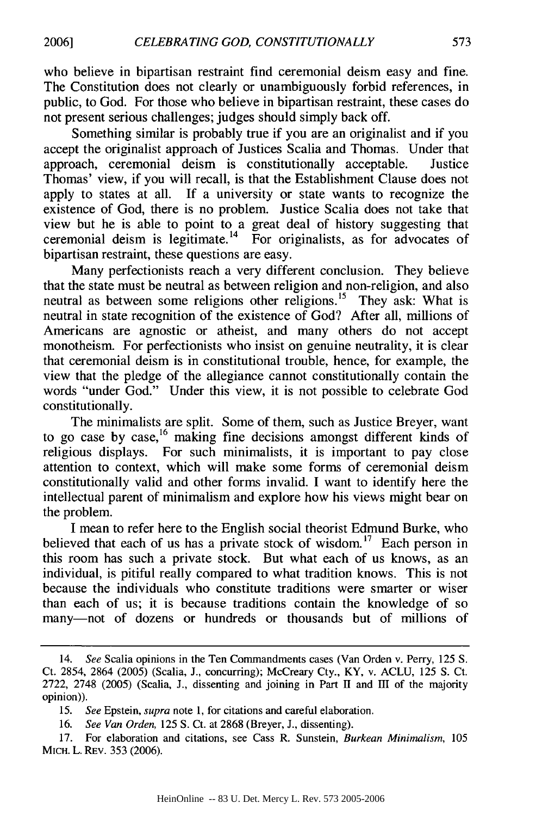who believe in bipartisan restraint find ceremonial deism easy and fine. The Constitution does not clearly or unambiguously forbid references, in public, to God. For those who believe in bipartisan restraint, these cases do not present serious challenges; judges should simply back off.

Something similar is probably true if you are an originalist and if you accept the originalist approach of Justices Scalia and Thomas. Under that approach, ceremonial deism is constitutionally acceptable. Justice Thomas' view, if you will recall, is that the Establishment Clause does not apply to states at all. If a university or state wants to recognize the existence of God, there is no problem. Justice Scalia does not take that view but he is able to point to a great deal of history suggesting that ceremonial deism is legitimate.<sup>14</sup> For originalists, as for advocates of bipartisan restraint, these questions are easy.

Many perfectionists reach a very different conclusion. They believe that the state must be neutral as between religion and non-religion, and also neutral as between some religions other religions.<sup>15</sup> They ask: What is neutral in state recognition of the existence of God? After all, millions of Americans are agnostic or atheist, and many others do not accept monotheism. For perfectionists who insist on genuine neutrality, it is clear that ceremonial deism is in constitutional trouble, hence, for example, the view that the pledge of the allegiance cannot constitutionally contain the words "under God." Under this view, it is not possible to celebrate God constitutionally.

The minimalists are split. Some of them, such as Justice Breyer, want to go case by case,<sup>16</sup> making fine decisions amongst different kinds of religious displays. For such minimalists, it is important to pay close attention to context, which will make some forms of ceremonial deism constitutionally valid and other forms invalid. I want to identify here the intellectual parent of minimalism and explore how his views might bear on the problem.

I mean to refer here to the English social theorist Edmund Burke, who believed that each of us has a private stock of wisdom.<sup>17</sup> Each person in this room has such a private stock. But what each of us knows, as an individual, is pitiful really compared to what tradition knows. This is not because the individuals who constitute traditions were smarter or wiser than each of us; it is because traditions contain the knowledge of so many-not of dozens or hundreds or thousands but of millions of

<sup>14.</sup> *See* Scalia opinions in the Ten Commandments cases (Van Orden v. Perry, 125 S. Ct. 2854, 2864 (2005) (Scalia, J., concurring); McCreary Cty., KY, v. ACLU, 125 S. Ct. 2722, 2748 (2005) (Scalia, J., dissenting and joining in Part II and III of the majority opinion)).

<sup>15.</sup> *See* Epstein, *supra* note 1, for citations and careful elaboration.

<sup>16.</sup> *See Van Orden,* 125 S. Ct. at 2868 (Breyer, J., dissenting).

<sup>17.</sup> For elaboration and citations, see Cass R. Sunstein, *Burkean Minimalism,* 105 MICH. L. REV. 353 (2006).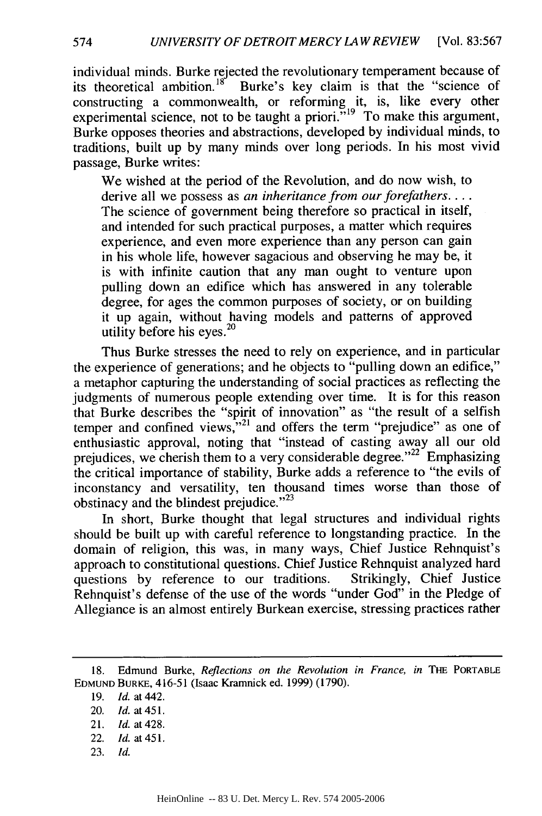individual minds. Burke rejected the revolutionary temperament because of its theoretical ambition.<sup>18</sup> Burke's key claim is that the "science of constructing a commonwealth, or reforming it, is, like every other experimental science, not to be taught a priori. $\overline{N}^{19}$  To make this argument Burke opposes theories and abstractions, developed by individual minds, to traditions, built up by many minds over long periods. In his most vivid passage, Burke writes:

We wished at the period of the Revolution, and do now wish, to derive all we possess as *an inheritance from our forefathers....* The science of government being therefore so practical in itself, and intended for such practical purposes, a matter which requires experience, and even more experience than any person can gain in his whole life, however sagacious and observing he may be, it is with infinite caution that any man ought to venture upon pulling down an edifice which has answered in any tolerable degree, for ages the common purposes of society, or on building it up again, without having models and patterns of approved utility before his eyes. <sup>20</sup>

Thus Burke stresses the need to rely on experience, and in particular the experience of generations; and he objects to "pulling down an edifice," a metaphor capturing the understanding of social practices as reflecting the judgments of numerous people extending over time. It is for this reason that Burke describes the "spirit of innovation" as "the result of a selfish temper and confined views,"<sup>21</sup> and offers the term "prejudice" as one of enthusiastic approval, noting that "instead of casting away all our old prejudices, we cherish them to a very considerable degree."<sup>22</sup> Emphasizing the critical importance of stability, Burke adds a reference to "the evils of inconstancy and versatility, ten thousand times worse than those of obstinacy and the blindest prejudice."<sup>23</sup>

In short, Burke thought that legal structures and individual rights should be built up with careful reference to longstanding practice. In the domain of religion, this was, in many ways, Chief Justice Rehnquist's approach to constitutional questions. Chief Justice Rehnquist analyzed hard questions by reference to our traditions. Strikingly, Chief Justice Rehnquist's defense of the use of the words "under God" in the Pledge of Allegiance is an almost entirely Burkean exercise, stressing practices rather

23. *Id.*

<sup>18.</sup> Edmund Burke, *Reflections* on the *Revolution in France, in* THE PORTABLE **EDMUND** BURKE, 416-51 (Isaac Kramnick ed. 1999) (1790).

<sup>19.</sup> Id. at 442.

<sup>20.</sup> *Id.* at 451.

<sup>21.</sup> *Id.* at 428.

<sup>22.</sup> **Id.** at 451.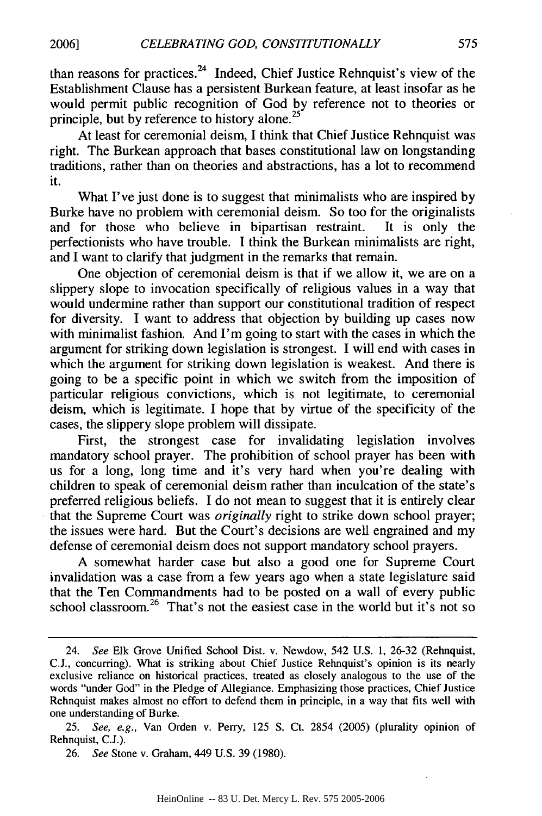than reasons for practices. 24 Indeed, Chief Justice Rehnquist's view of the Establishment Clause has a persistent Burkean feature, at least insofar as he would permit public recognition of God by reference not to theories or principle, but by reference to history alone.<sup>2</sup>

At least for ceremonial deism, I think that Chief Justice Rehnquist was right. The Burkean approach that bases constitutional law on longstanding traditions, rather than on theories and abstractions, has a lot to recommend it.

What I've just done is to suggest that minimalists who are inspired by Burke have no problem with ceremonial deism. So too for the originalists and for those who believe in bipartisan restraint. It is only the perfectionists who have trouble. I think the Burkean minimalists are right, and I want to clarify that judgment in the remarks that remain.

One objection of ceremonial deism is that if we allow it, we are on a slippery slope to invocation specifically of religious values in a way that would undermine rather than support our constitutional tradition of respect for diversity. I want to address that objection by building up cases now with minimalist fashion. And I'm going to start with the cases in which the argument for striking down legislation is strongest. I will end with cases in which the argument for striking down legislation is weakest. And there is going to be a specific point in which we switch from the imposition of particular religious convictions, which is not legitimate, to ceremonial deism, which is legitimate. I hope that by virtue of the specificity of the cases, the slippery slope problem will dissipate.

First, the strongest case for invalidating legislation involves mandatory school prayer. The prohibition of school prayer has been with us for a long, long time and it's very hard when you're dealing with children to speak of ceremonial deism rather than inculcation of the state's preferred religious beliefs. I do not mean to suggest that it is entirely clear that the Supreme Court was *originally* right to strike down school prayer; the issues were hard. But the Court's decisions are well engrained and my defense of ceremonial deism does not support mandatory school prayers.

A somewhat harder case but also a good one for Supreme Court invalidation was a case from a few years ago when a state legislature said that the Ten Commandments had to be posted on a wall of every public school classroom.<sup>26</sup> That's not the easiest case in the world but it's not so

<sup>24.</sup> See Elk Grove Unified School Dist. v. Newdow, 542 U.S. 1, 26-32 (Rehnquist, C.J., concurring). What is striking about Chief Justice Rehnquist's opinion is its nearly exclusive reliance on historical practices, treated as closely analogous to the use of the words "under God" in the Pledge of Allegiance. Emphasizing those practices, Chief Justice Rehnquist makes almost no effort to defend them in principle, in a way that fits well with one understanding of Burke.

<sup>25.</sup> See, e.g., Van Orden v. Perry, 125 **S.** Ct. 2854 (2005) (plurality opinion of Rehnquist, C.J.).

<sup>26.</sup> See Stone v. Graham, 449 U.S. 39 (1980).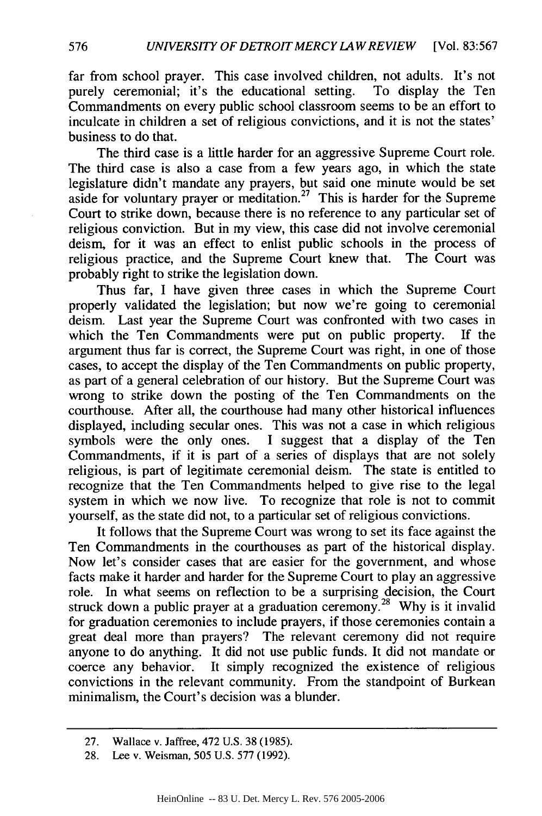far from school prayer. This case involved children, not adults. It's not purely ceremonial; it's the educational setting. To display the Ten Commandments on every public school classroom seems to be an effort to inculcate in children a set of religious convictions, and it is not the states' business to do that.

The third case is a little harder for an aggressive Supreme Court role. The third case is also a case from a few years ago, in which the state legislature didn't mandate any prayers, but said one minute would be set aside for voluntary prayer or meditation.<sup>27</sup> This is harder for the Supreme Court to strike down, because there is no reference to any particular set of religious conviction. But in my view, this case did not involve ceremonial deism, for it was an effect to enlist public schools in the process of religious practice, and the Supreme Court knew that. The Court was probably right to strike the legislation down.

Thus far, I have given three cases in which the Supreme Court properly validated the legislation; but now we're going to ceremonial deism. Last year the Supreme Court was confronted with two cases in which the Ten Commandments were put on public property. If the argument thus far is correct, the Supreme Court was right, in one of those cases, to accept the display of the Ten Commandments on public property, as part of a general celebration of our history. But the Supreme Court was wrong to strike down the posting of the Ten Commandments on the courthouse. After all, the courthouse had many other historical influences displayed, including secular ones. This was not a case in which religious symbols were the only ones. I suggest that a display of the Ten Commandments, if it is part of a series of displays that are not solely religious, is part of legitimate ceremonial deism. The state is entitled to recognize that the Ten Commandments helped to give rise to the legal system in which we now live. To recognize that role is not to commit yourself, as the state did not, to a particular set of religious convictions.

It follows that the Supreme Court was wrong to set its face against the Ten Commandments in the courthouses as part of the historical display. Now let's consider cases that are easier for the government, and whose facts make it harder and harder for the Supreme Court to play an aggressive role. In what seems on reflection to be a surprising decision, the Court struck down a public prayer at a graduation ceremony.<sup>28</sup> Why is it invalid for graduation ceremonies to include prayers, if those ceremonies contain a great deal more than prayers? The relevant ceremony did not require anyone to do anything. It did not use public funds. It did not mandate or coerce any behavior. It simply recognized the existence of religious convictions in the relevant community. From the standpoint of Burkean minimalism, the Court's decision was a blunder.

<sup>27.</sup> Wallace v. Jaffree, 472 U.S. 38 (1985).

<sup>28.</sup> Lee v. Weisman, 505 U.S. 577 (1992).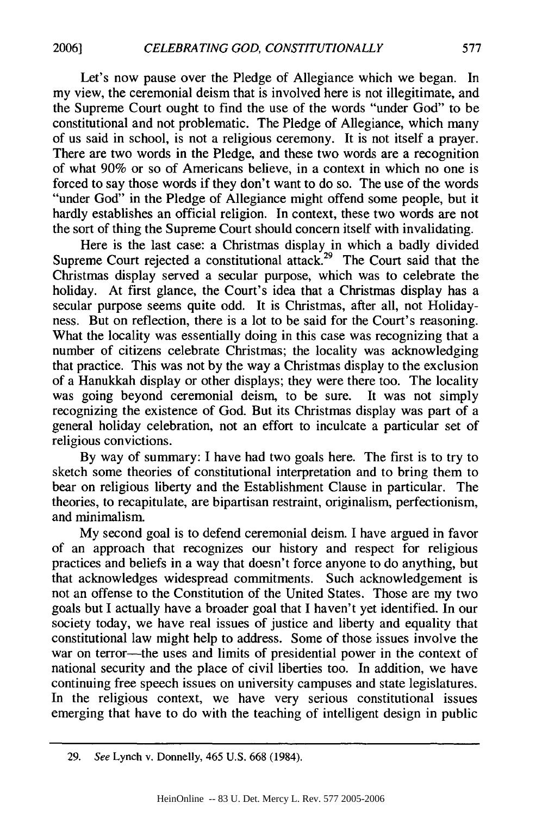Let's now pause over the Pledge of Allegiance which we began. In my view, the ceremonial deism that is involved here is not illegitimate, and the Supreme Court ought to find the use of the words "under God" to be constitutional and not problematic. The Pledge of Allegiance, which many of us said in school, is not a religious ceremony. It is not itself a prayer. There are two words in the Pledge, and these two words are a recognition of what 90% or so of Americans believe, in a context in which no one is forced to say those words if they don't want to do so. The use of the words "under God" in the Pledge of Allegiance might offend some people, but it hardly establishes an official religion. In context, these two words are not the sort of thing the Supreme Court should concern itself with invalidating.

Here is the last case: a Christmas display in which a badly divided Supreme Court rejected a constitutional attack.<sup>29</sup> The Court said that the Christmas display served a secular purpose, which was to celebrate the holiday. At first glance, the Court's idea that a Christmas display has a secular purpose seems quite odd. It is Christmas, after all, not Holidayness. But on reflection, there is a lot to be said for the Court's reasoning. What the locality was essentially doing in this case was recognizing that a number of citizens celebrate Christmas; the locality was acknowledging that practice. This was not by the way a Christmas display to the exclusion of a Hanukkah display or other displays; they were there too. The locality was going beyond ceremonial deism, to be sure. It was not simply recognizing the existence of God. But its Christmas display was part of a general holiday celebration, not an effort to inculcate a particular set of religious convictions.

By way of summary: I have had two goals here. The first is to try to sketch some theories of constitutional interpretation and to bring them to bear on religious liberty and the Establishment Clause in particular. The theories, to recapitulate, are bipartisan restraint, originalism, perfectionism, and minimalism.

My second goal is to defend ceremonial deism. I have argued in favor of an approach that recognizes our history and respect for religious practices and beliefs in a way that doesn't force anyone to do anything, but that acknowledges widespread commitments. Such acknowledgement is not an offense to the Constitution of the United States. Those are my two goals but I actually have a broader goal that I haven't yet identified. In our society today, we have real issues of justice and liberty and equality that constitutional law might help to address. Some of those issues involve the war on terror---the uses and limits of presidential power in the context of national security and the place of civil liberties too. In addition, we have continuing free speech issues on university campuses and state legislatures. In the religious context, we have very serious constitutional issues emerging that have to do with the teaching of intelligent design in public

<sup>29.</sup> See Lynch v. Donnelly, 465 U.S. 668 (1984).